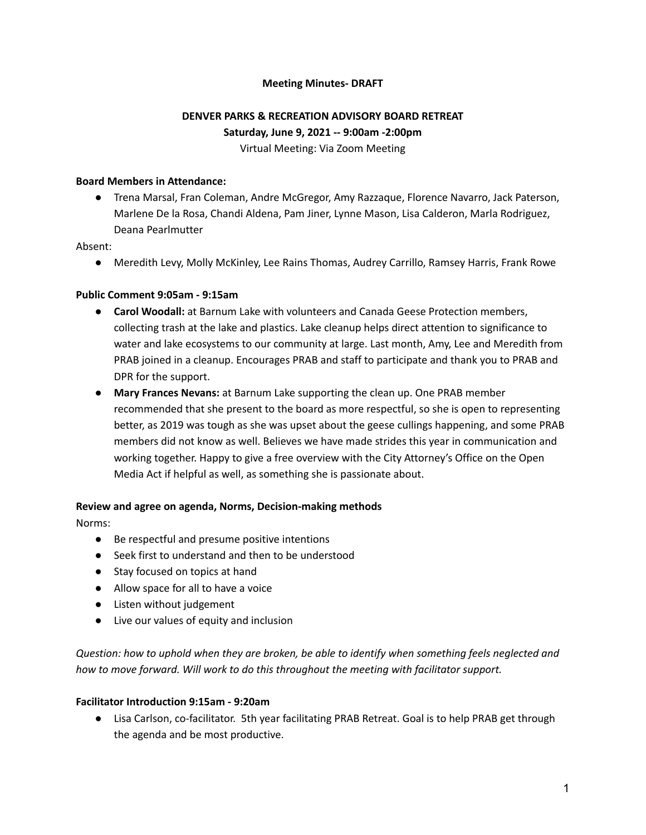## **Meeting Minutes- DRAFT**

# **DENVER PARKS & RECREATION ADVISORY BOARD RETREAT Saturday, June 9, 2021 -- 9:00am -2:00pm** Virtual Meeting: Via Zoom Meeting

### **Board Members in Attendance:**

● Trena Marsal, Fran Coleman, Andre McGregor, Amy Razzaque, Florence Navarro, Jack Paterson, Marlene De la Rosa, Chandi Aldena, Pam Jiner, Lynne Mason, Lisa Calderon, Marla Rodriguez, Deana Pearlmutter

### Absent:

● Meredith Levy, Molly McKinley, Lee Rains Thomas, Audrey Carrillo, Ramsey Harris, Frank Rowe

## **Public Comment 9:05am - 9:15am**

- **Carol Woodall:** at Barnum Lake with volunteers and Canada Geese Protection members, collecting trash at the lake and plastics. Lake cleanup helps direct attention to significance to water and lake ecosystems to our community at large. Last month, Amy, Lee and Meredith from PRAB joined in a cleanup. Encourages PRAB and staff to participate and thank you to PRAB and DPR for the support.
- **● Mary Frances Nevans:** at Barnum Lake supporting the clean up. One PRAB member recommended that she present to the board as more respectful, so she is open to representing better, as 2019 was tough as she was upset about the geese cullings happening, and some PRAB members did not know as well. Believes we have made strides this year in communication and working together. Happy to give a free overview with the City Attorney's Office on the Open Media Act if helpful as well, as something she is passionate about.

#### **Review and agree on agenda, Norms, Decision-making methods**

Norms:

- Be respectful and presume positive intentions
- Seek first to understand and then to be understood
- Stay focused on topics at hand
- Allow space for all to have a voice
- Listen without judgement
- Live our values of equity and inclusion

*Question: how to uphold when they are broken, be able to identify when something feels neglected and how to move forward. Will work to do this throughout the meeting with facilitator support.*

#### **Facilitator Introduction 9:15am - 9:20am**

● Lisa Carlson, co-facilitator. 5th year facilitating PRAB Retreat. Goal is to help PRAB get through the agenda and be most productive.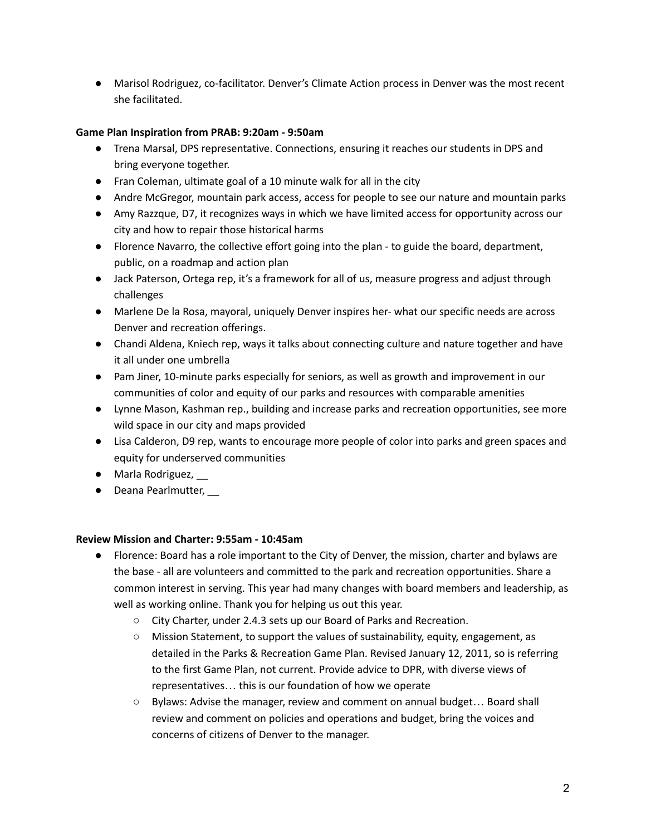● Marisol Rodriguez, co-facilitator. Denver's Climate Action process in Denver was the most recent she facilitated.

## **Game Plan Inspiration from PRAB: 9:20am - 9:50am**

- Trena Marsal, DPS representative. Connections, ensuring it reaches our students in DPS and bring everyone together.
- Fran Coleman, ultimate goal of a 10 minute walk for all in the city
- Andre McGregor, mountain park access, access for people to see our nature and mountain parks
- Amy Razzque, D7, it recognizes ways in which we have limited access for opportunity across our city and how to repair those historical harms
- Florence Navarro, the collective effort going into the plan to guide the board, department, public, on a roadmap and action plan
- Jack Paterson, Ortega rep, it's a framework for all of us, measure progress and adjust through challenges
- Marlene De la Rosa, mayoral, uniquely Denver inspires her- what our specific needs are across Denver and recreation offerings.
- Chandi Aldena, Kniech rep, ways it talks about connecting culture and nature together and have it all under one umbrella
- Pam Jiner, 10-minute parks especially for seniors, as well as growth and improvement in our communities of color and equity of our parks and resources with comparable amenities
- Lynne Mason, Kashman rep., building and increase parks and recreation opportunities, see more wild space in our city and maps provided
- Lisa Calderon, D9 rep, wants to encourage more people of color into parks and green spaces and equity for underserved communities
- Marla Rodriguez,
- Deana Pearlmutter,

## **Review Mission and Charter: 9:55am - 10:45am**

- Florence: Board has a role important to the City of Denver, the mission, charter and bylaws are the base - all are volunteers and committed to the park and recreation opportunities. Share a common interest in serving. This year had many changes with board members and leadership, as well as working online. Thank you for helping us out this year.
	- City Charter, under 2.4.3 sets up our Board of Parks and Recreation.
	- Mission Statement, to support the values of sustainability, equity, engagement, as detailed in the Parks & Recreation Game Plan. Revised January 12, 2011, so is referring to the first Game Plan, not current. Provide advice to DPR, with diverse views of representatives… this is our foundation of how we operate
	- Bylaws: Advise the manager, review and comment on annual budget… Board shall review and comment on policies and operations and budget, bring the voices and concerns of citizens of Denver to the manager.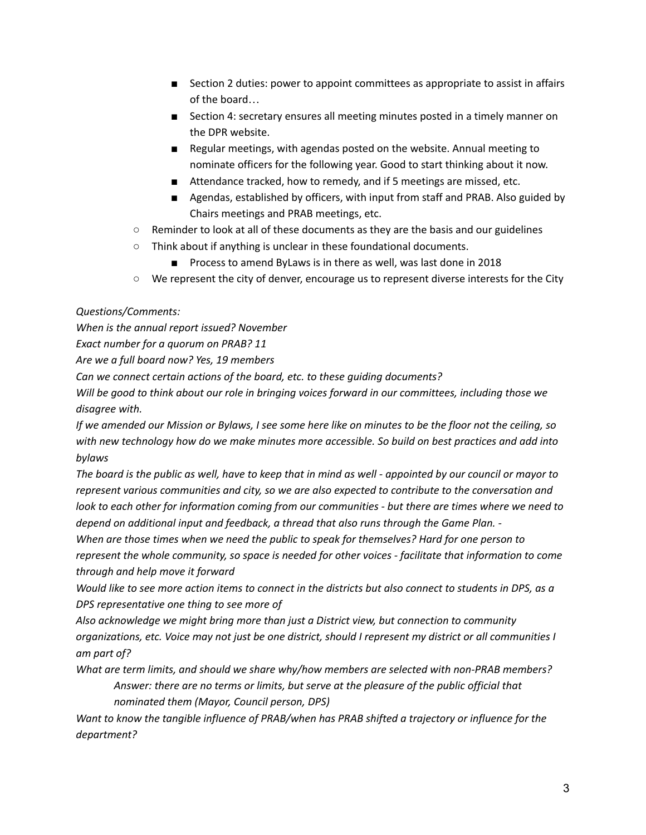- Section 2 duties: power to appoint committees as appropriate to assist in affairs of the board…
- Section 4: secretary ensures all meeting minutes posted in a timely manner on the DPR website.
- Regular meetings, with agendas posted on the website. Annual meeting to nominate officers for the following year. Good to start thinking about it now.
- Attendance tracked, how to remedy, and if 5 meetings are missed, etc.
- Agendas, established by officers, with input from staff and PRAB. Also guided by Chairs meetings and PRAB meetings, etc.
- $\circ$  Reminder to look at all of these documents as they are the basis and our guidelines
- Think about if anything is unclear in these foundational documents.
	- Process to amend ByLaws is in there as well, was last done in 2018
- We represent the city of denver, encourage us to represent diverse interests for the City

## *Questions/Comments:*

*When is the annual report issued? November*

*Exact number for a quorum on PRAB? 11*

*Are we a full board now? Yes, 19 members*

*Can we connect certain actions of the board, etc. to these guiding documents?*

Will be good to think about our role in bringing voices forward in our committees, including those we *disagree with.*

If we amended our Mission or Bylaws, I see some here like on minutes to be the floor not the ceiling, so with new technology how do we make minutes more accessible. So build on best practices and add into *bylaws*

The board is the public as well, have to keep that in mind as well - appointed by our council or mayor to *represent various communities and city, so we are also expected to contribute to the conversation and* look to each other for information coming from our communities - but there are times where we need to *depend on additional input and feedback, a thread that also runs through the Game Plan. -*

*When are those times when we need the public to speak for themselves? Hard for one person to represent the whole community, so space is needed for other voices - facilitate that information to come through and help move it forward*

Would like to see more action items to connect in the districts but also connect to students in DPS, as a *DPS representative one thing to see more of*

*Also acknowledge we might bring more than just a District view, but connection to community* organizations, etc. Voice may not just be one district, should I represent my district or all communities I *am part of?*

*What are term limits, and should we share why/how members are selected with non-PRAB members?*

*Answer: there are no terms or limits, but serve at the pleasure of the public official that nominated them (Mayor, Council person, DPS)*

*Want to know the tangible influence of PRAB/when has PRAB shifted a trajectory or influence for the department?*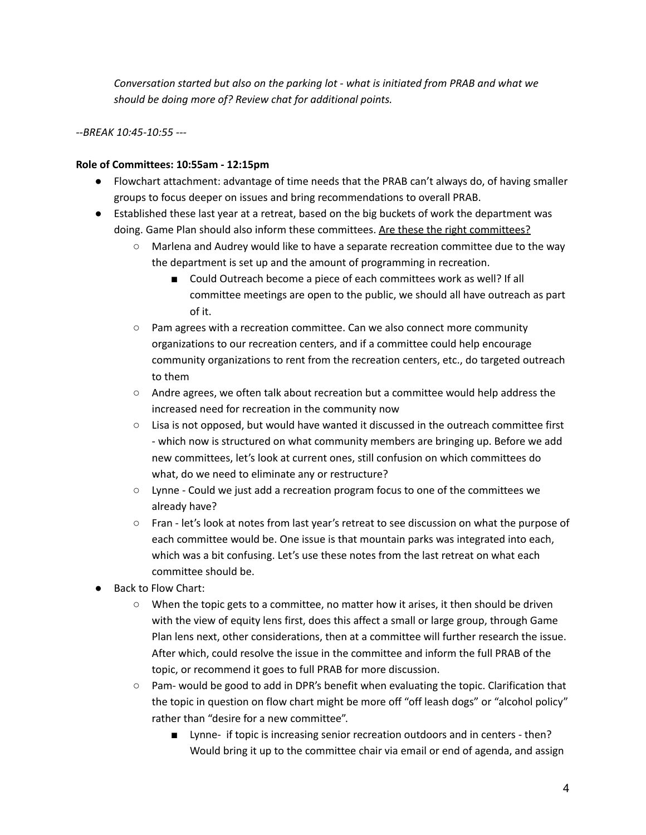*Conversation started but also on the parking lot - what is initiated from PRAB and what we should be doing more of? Review chat for additional points.*

*--BREAK 10:45-10:55 ---*

## **Role of Committees: 10:55am - 12:15pm**

- Flowchart attachment: advantage of time needs that the PRAB can't always do, of having smaller groups to focus deeper on issues and bring recommendations to overall PRAB.
- Established these last year at a retreat, based on the big buckets of work the department was doing. Game Plan should also inform these committees. Are these the right committees?
	- Marlena and Audrey would like to have a separate recreation committee due to the way the department is set up and the amount of programming in recreation.
		- Could Outreach become a piece of each committees work as well? If all committee meetings are open to the public, we should all have outreach as part of it.
	- Pam agrees with a recreation committee. Can we also connect more community organizations to our recreation centers, and if a committee could help encourage community organizations to rent from the recreation centers, etc., do targeted outreach to them
	- Andre agrees, we often talk about recreation but a committee would help address the increased need for recreation in the community now
	- $\circ$  Lisa is not opposed, but would have wanted it discussed in the outreach committee first - which now is structured on what community members are bringing up. Before we add new committees, let's look at current ones, still confusion on which committees do what, do we need to eliminate any or restructure?
	- Lynne Could we just add a recreation program focus to one of the committees we already have?
	- Fran let's look at notes from last year's retreat to see discussion on what the purpose of each committee would be. One issue is that mountain parks was integrated into each, which was a bit confusing. Let's use these notes from the last retreat on what each committee should be.
- **Back to Flow Chart:** 
	- When the topic gets to a committee, no matter how it arises, it then should be driven with the view of equity lens first, does this affect a small or large group, through Game Plan lens next, other considerations, then at a committee will further research the issue. After which, could resolve the issue in the committee and inform the full PRAB of the topic, or recommend it goes to full PRAB for more discussion.
	- Pam- would be good to add in DPR's benefit when evaluating the topic. Clarification that the topic in question on flow chart might be more off "off leash dogs" or "alcohol policy" rather than "desire for a new committee".
		- Lynne- if topic is increasing senior recreation outdoors and in centers then? Would bring it up to the committee chair via email or end of agenda, and assign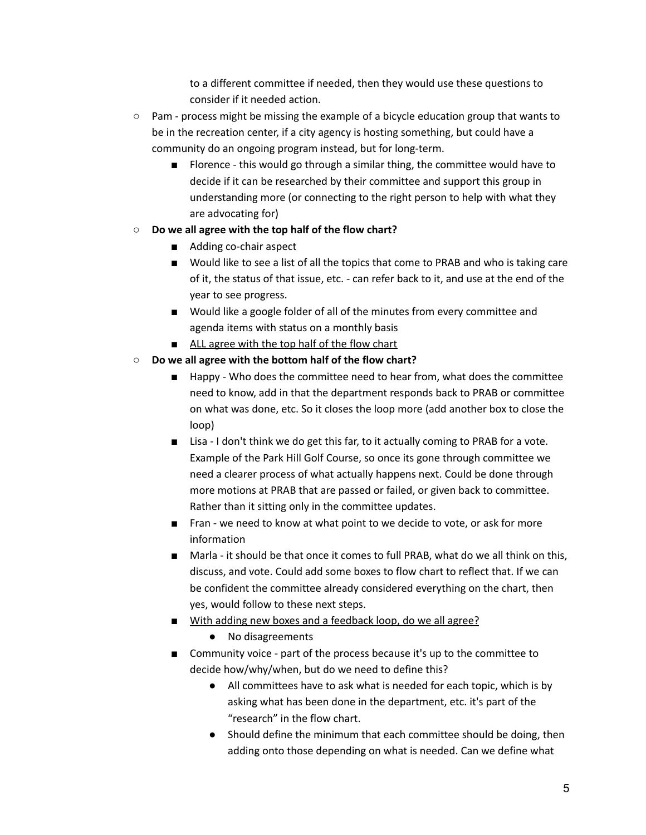to a different committee if needed, then they would use these questions to consider if it needed action.

- Pam process might be missing the example of a bicycle education group that wants to be in the recreation center, if a city agency is hosting something, but could have a community do an ongoing program instead, but for long-term.
	- Florence this would go through a similar thing, the committee would have to decide if it can be researched by their committee and support this group in understanding more (or connecting to the right person to help with what they are advocating for)
- **○ Do we all agree with the top half of the flow chart?**
	- Adding co-chair aspect
	- Would like to see a list of all the topics that come to PRAB and who is taking care of it, the status of that issue, etc. - can refer back to it, and use at the end of the year to see progress.
	- Would like a google folder of all of the minutes from every committee and agenda items with status on a monthly basis
	- ALL agree with the top half of the flow chart
- **○ Do we all agree with the bottom half of the flow chart?**
	- Happy Who does the committee need to hear from, what does the committee need to know, add in that the department responds back to PRAB or committee on what was done, etc. So it closes the loop more (add another box to close the loop)
	- Lisa I don't think we do get this far, to it actually coming to PRAB for a vote. Example of the Park Hill Golf Course, so once its gone through committee we need a clearer process of what actually happens next. Could be done through more motions at PRAB that are passed or failed, or given back to committee. Rather than it sitting only in the committee updates.
	- Fran we need to know at what point to we decide to vote, or ask for more information
	- Marla it should be that once it comes to full PRAB, what do we all think on this, discuss, and vote. Could add some boxes to flow chart to reflect that. If we can be confident the committee already considered everything on the chart, then yes, would follow to these next steps.
	- With adding new boxes and a feedback loop, do we all agree?
		- No disagreements
	- Community voice part of the process because it's up to the committee to decide how/why/when, but do we need to define this?
		- All committees have to ask what is needed for each topic, which is by asking what has been done in the department, etc. it's part of the "research" in the flow chart.
		- Should define the minimum that each committee should be doing, then adding onto those depending on what is needed. Can we define what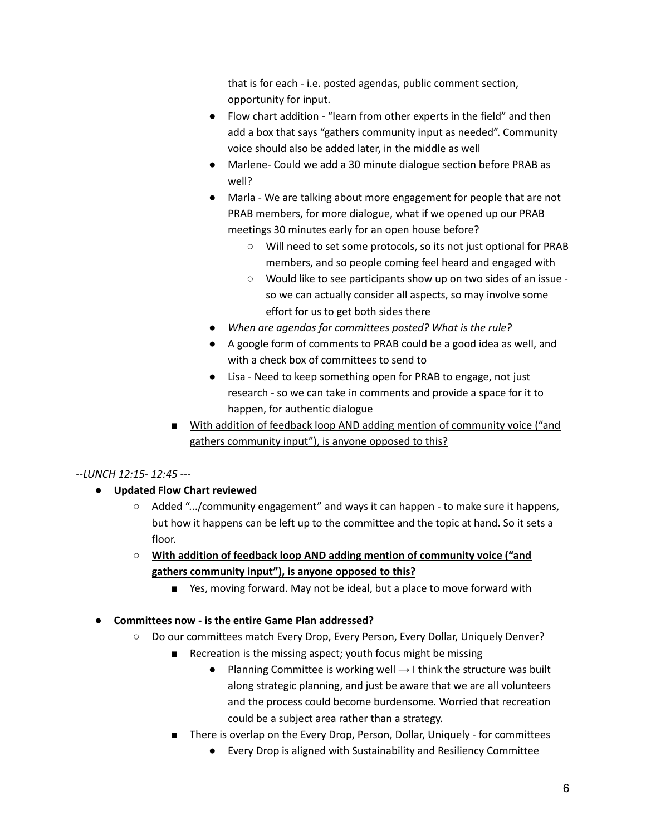that is for each - i.e. posted agendas, public comment section, opportunity for input.

- Flow chart addition "learn from other experts in the field" and then add a box that says "gathers community input as needed". Community voice should also be added later, in the middle as well
- Marlene- Could we add a 30 minute dialogue section before PRAB as well?
- Marla We are talking about more engagement for people that are not PRAB members, for more dialogue, what if we opened up our PRAB meetings 30 minutes early for an open house before?
	- Will need to set some protocols, so its not just optional for PRAB members, and so people coming feel heard and engaged with
	- Would like to see participants show up on two sides of an issue so we can actually consider all aspects, so may involve some effort for us to get both sides there
- *● When are agendas for committees posted? What is the rule?*
- A google form of comments to PRAB could be a good idea as well, and with a check box of committees to send to
- Lisa Need to keep something open for PRAB to engage, not just research - so we can take in comments and provide a space for it to happen, for authentic dialogue
- With addition of feedback loop AND adding mention of community voice ("and gathers community input"), is anyone opposed to this?

# *--LUNCH 12:15- 12:45 ---*

- **● Updated Flow Chart reviewed**
	- Added ".../community engagement" and ways it can happen to make sure it happens, but how it happens can be left up to the committee and the topic at hand. So it sets a floor.
	- **○ With addition of feedback loop AND adding mention of community voice ("and gathers community input"), is anyone opposed to this?**
		- Yes, moving forward. May not be ideal, but a place to move forward with

# **● Committees now - is the entire Game Plan addressed?**

- Do our committees match Every Drop, Every Person, Every Dollar, Uniquely Denver?
	- Recreation is the missing aspect; youth focus might be missing
		- Planning Committee is working well  $\rightarrow$  I think the structure was built along strategic planning, and just be aware that we are all volunteers and the process could become burdensome. Worried that recreation could be a subject area rather than a strategy.
	- There is overlap on the Every Drop, Person, Dollar, Uniquely for committees
		- Every Drop is aligned with Sustainability and Resiliency Committee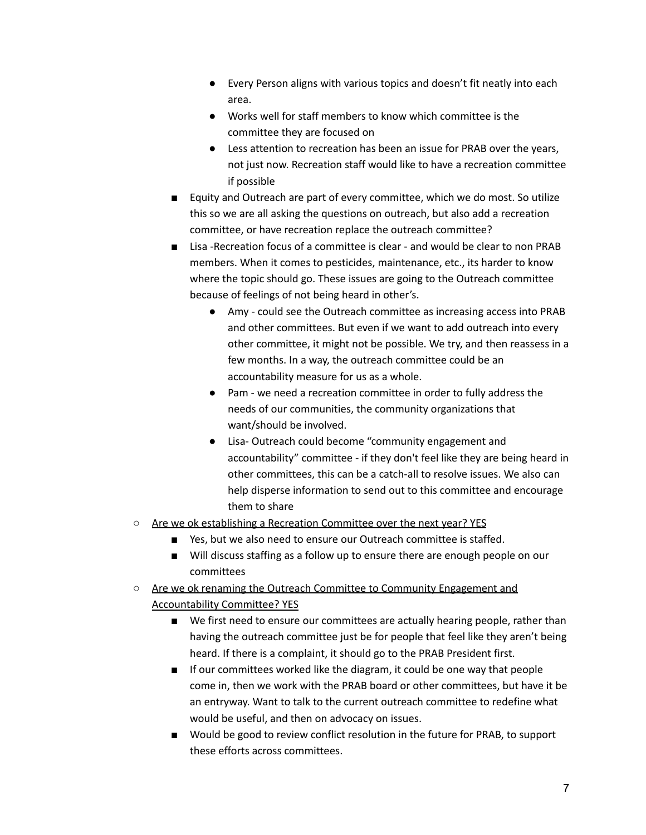- Every Person aligns with various topics and doesn't fit neatly into each area.
- Works well for staff members to know which committee is the committee they are focused on
- Less attention to recreation has been an issue for PRAB over the years, not just now. Recreation staff would like to have a recreation committee if possible
- Equity and Outreach are part of every committee, which we do most. So utilize this so we are all asking the questions on outreach, but also add a recreation committee, or have recreation replace the outreach committee?
- Lisa -Recreation focus of a committee is clear and would be clear to non PRAB members. When it comes to pesticides, maintenance, etc., its harder to know where the topic should go. These issues are going to the Outreach committee because of feelings of not being heard in other's.
	- Amy could see the Outreach committee as increasing access into PRAB and other committees. But even if we want to add outreach into every other committee, it might not be possible. We try, and then reassess in a few months. In a way, the outreach committee could be an accountability measure for us as a whole.
	- Pam we need a recreation committee in order to fully address the needs of our communities, the community organizations that want/should be involved.
	- Lisa- Outreach could become "community engagement and accountability" committee - if they don't feel like they are being heard in other committees, this can be a catch-all to resolve issues. We also can help disperse information to send out to this committee and encourage them to share
- Are we ok establishing a Recreation Committee over the next year? YES
	- Yes, but we also need to ensure our Outreach committee is staffed.
	- Will discuss staffing as a follow up to ensure there are enough people on our committees
- Are we ok renaming the Outreach Committee to Community Engagement and Accountability Committee? YES
	- We first need to ensure our committees are actually hearing people, rather than having the outreach committee just be for people that feel like they aren't being heard. If there is a complaint, it should go to the PRAB President first.
	- If our committees worked like the diagram, it could be one way that people come in, then we work with the PRAB board or other committees, but have it be an entryway. Want to talk to the current outreach committee to redefine what would be useful, and then on advocacy on issues.
	- Would be good to review conflict resolution in the future for PRAB, to support these efforts across committees.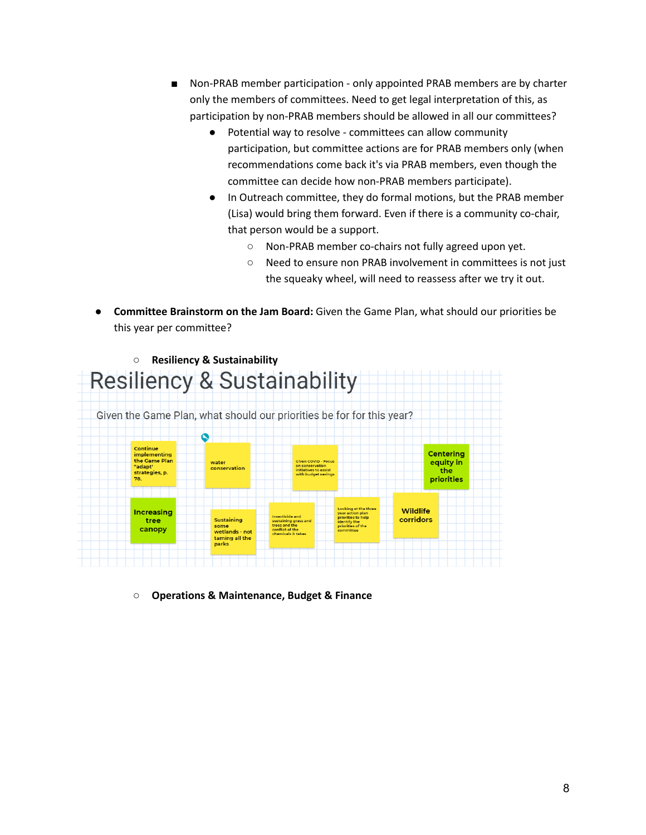- Non-PRAB member participation only appointed PRAB members are by charter only the members of committees. Need to get legal interpretation of this, as participation by non-PRAB members should be allowed in all our committees?
	- Potential way to resolve committees can allow community participation, but committee actions are for PRAB members only (when recommendations come back it's via PRAB members, even though the committee can decide how non-PRAB members participate).
	- In Outreach committee, they do formal motions, but the PRAB member (Lisa) would bring them forward. Even if there is a community co-chair, that person would be a support.
		- Non-PRAB member co-chairs not fully agreed upon yet.
		- Need to ensure non PRAB involvement in committees is not just the squeaky wheel, will need to reassess after we try it out.
- **● Committee Brainstorm on the Jam Board:** Given the Game Plan, what should our priorities be this year per committee?



**○ Operations & Maintenance, Budget & Finance**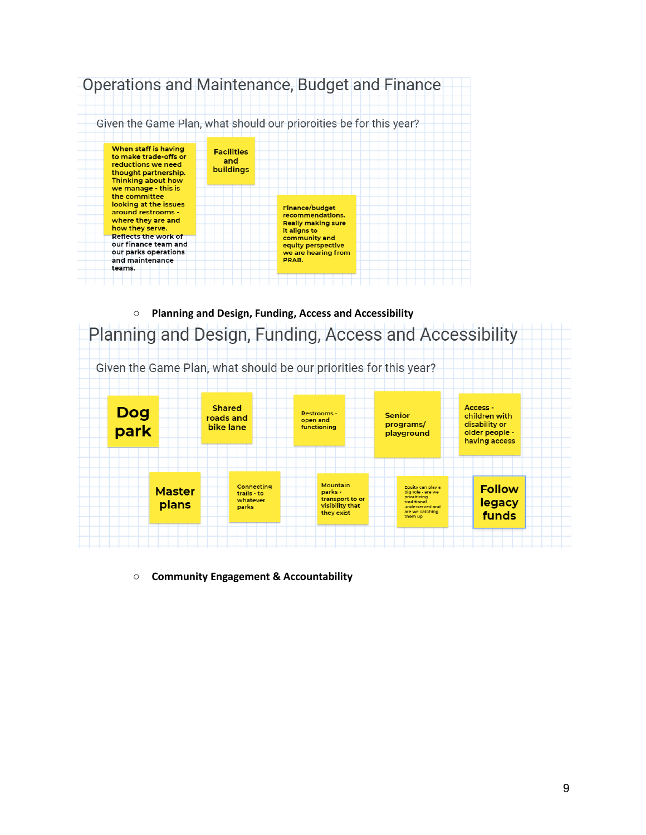

**○ Planning and Design, Funding, Access and Accessibility**



**○ Community Engagement & Accountability**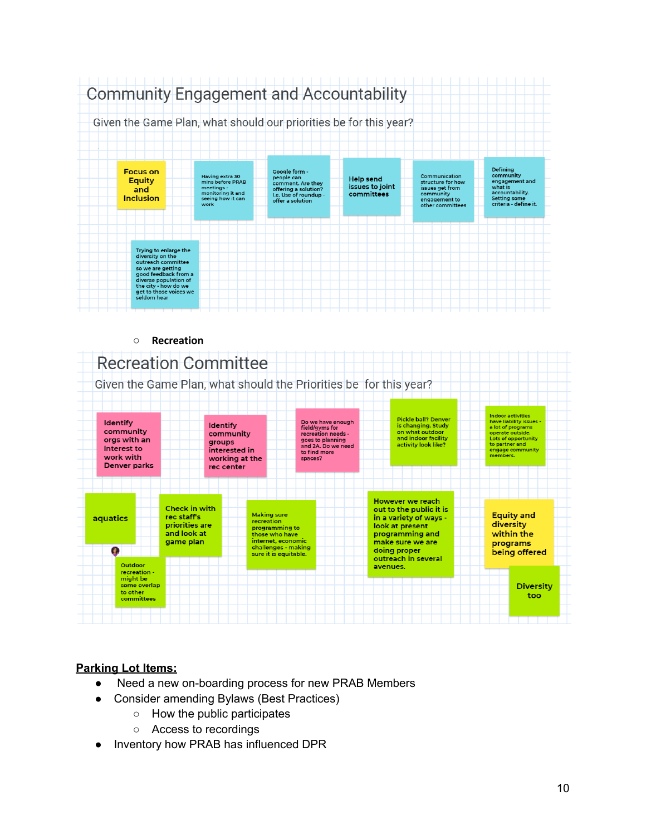

#### **○ Recreation Recreation Committee** Given the Game Plan, what should the Priorities be for this year? Indoor activities<br>have liability issues<br>a lot of programs<br>operate outside.<br>Lots of opportunity<br>to partner and Pickle ball? Denver Do we have enough<br>field/gyms for<br>recreation needs -<br>goes to planning<br>and 2A. Do we need Identify **Identify** is changing. Study<br>on what outdoor community community orgs with an and indoor facility groups activity look like? interest to interested in engage community<br>members. to find more work with working at the spaces? **Denver parks** rec center However we reach Check in with out to the public it is Making sure<br>recreation **Equity and** aquatics rec staff's in a variety of ways diversity priorities are look at present programming to<br>those who have<br>internet, economic and look at programming and within the game plan make sure we are programs challenges - making<br>sure it is equitable. Ω doing proper being offered outreach in several Outdoor avenues. recreation might be<br>some overlap **Diversity** to other too co other<br>committees

# **Parking Lot Items:**

- Need a new on-boarding process for new PRAB Members
- Consider amending Bylaws (Best Practices)
	- How the public participates
	- Access to recordings
- Inventory how PRAB has influenced DPR